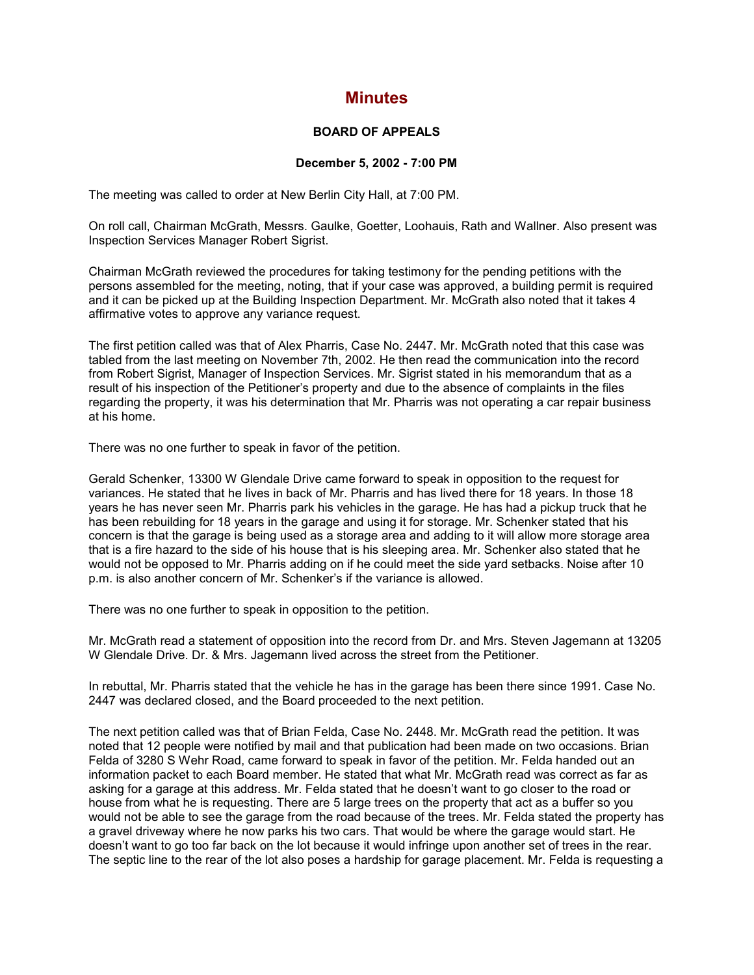## **Minutes**

## **BOARD OF APPEALS**

## **December 5, 2002 - 7:00 PM**

The meeting was called to order at New Berlin City Hall, at 7:00 PM.

On roll call, Chairman McGrath, Messrs. Gaulke, Goetter, Loohauis, Rath and Wallner. Also present was Inspection Services Manager Robert Sigrist.

Chairman McGrath reviewed the procedures for taking testimony for the pending petitions with the persons assembled for the meeting, noting, that if your case was approved, a building permit is required and it can be picked up at the Building Inspection Department. Mr. McGrath also noted that it takes 4 affirmative votes to approve any variance request.

The first petition called was that of Alex Pharris, Case No. 2447. Mr. McGrath noted that this case was tabled from the last meeting on November 7th, 2002. He then read the communication into the record from Robert Sigrist, Manager of Inspection Services. Mr. Sigrist stated in his memorandum that as a result of his inspection of the Petitioner's property and due to the absence of complaints in the files regarding the property, it was his determination that Mr. Pharris was not operating a car repair business at his home.

There was no one further to speak in favor of the petition.

Gerald Schenker, 13300 W Glendale Drive came forward to speak in opposition to the request for variances. He stated that he lives in back of Mr. Pharris and has lived there for 18 years. In those 18 years he has never seen Mr. Pharris park his vehicles in the garage. He has had a pickup truck that he has been rebuilding for 18 years in the garage and using it for storage. Mr. Schenker stated that his concern is that the garage is being used as a storage area and adding to it will allow more storage area that is a fire hazard to the side of his house that is his sleeping area. Mr. Schenker also stated that he would not be opposed to Mr. Pharris adding on if he could meet the side yard setbacks. Noise after 10 p.m. is also another concern of Mr. Schenker's if the variance is allowed.

There was no one further to speak in opposition to the petition.

Mr. McGrath read a statement of opposition into the record from Dr. and Mrs. Steven Jagemann at 13205 W Glendale Drive. Dr. & Mrs. Jagemann lived across the street from the Petitioner.

In rebuttal, Mr. Pharris stated that the vehicle he has in the garage has been there since 1991. Case No. 2447 was declared closed, and the Board proceeded to the next petition.

The next petition called was that of Brian Felda, Case No. 2448. Mr. McGrath read the petition. It was noted that 12 people were notified by mail and that publication had been made on two occasions. Brian Felda of 3280 S Wehr Road, came forward to speak in favor of the petition. Mr. Felda handed out an information packet to each Board member. He stated that what Mr. McGrath read was correct as far as asking for a garage at this address. Mr. Felda stated that he doesn't want to go closer to the road or house from what he is requesting. There are 5 large trees on the property that act as a buffer so you would not be able to see the garage from the road because of the trees. Mr. Felda stated the property has a gravel driveway where he now parks his two cars. That would be where the garage would start. He doesn't want to go too far back on the lot because it would infringe upon another set of trees in the rear. The septic line to the rear of the lot also poses a hardship for garage placement. Mr. Felda is requesting a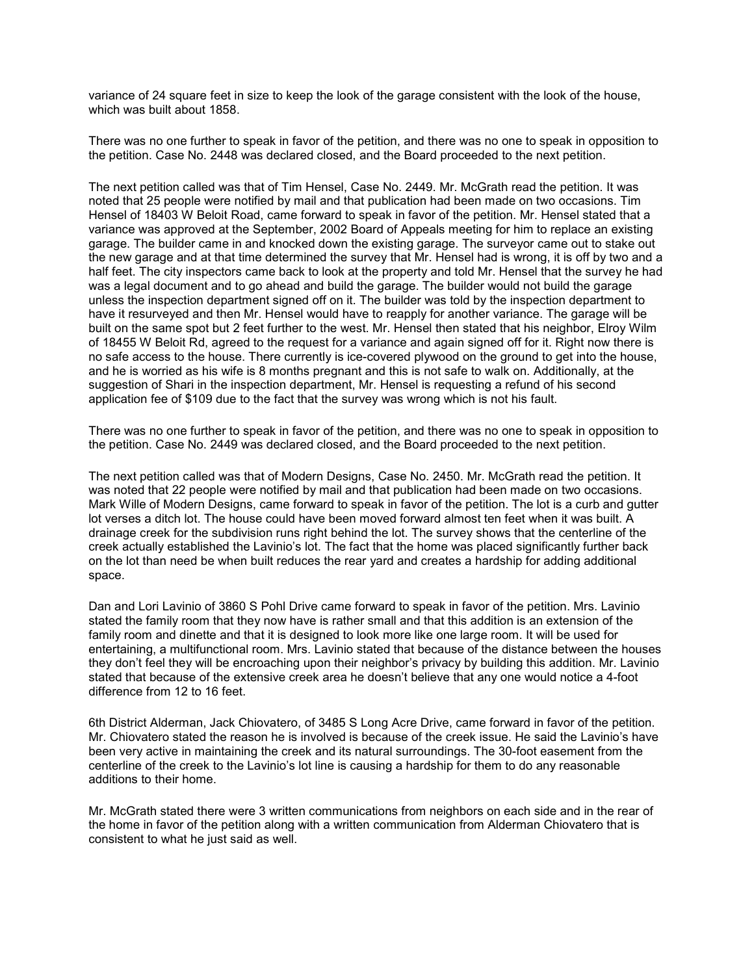variance of 24 square feet in size to keep the look of the garage consistent with the look of the house, which was built about 1858.

There was no one further to speak in favor of the petition, and there was no one to speak in opposition to the petition. Case No. 2448 was declared closed, and the Board proceeded to the next petition.

The next petition called was that of Tim Hensel, Case No. 2449. Mr. McGrath read the petition. It was noted that 25 people were notified by mail and that publication had been made on two occasions. Tim Hensel of 18403 W Beloit Road, came forward to speak in favor of the petition. Mr. Hensel stated that a variance was approved at the September, 2002 Board of Appeals meeting for him to replace an existing garage. The builder came in and knocked down the existing garage. The surveyor came out to stake out the new garage and at that time determined the survey that Mr. Hensel had is wrong, it is off by two and a half feet. The city inspectors came back to look at the property and told Mr. Hensel that the survey he had was a legal document and to go ahead and build the garage. The builder would not build the garage unless the inspection department signed off on it. The builder was told by the inspection department to have it resurveyed and then Mr. Hensel would have to reapply for another variance. The garage will be built on the same spot but 2 feet further to the west. Mr. Hensel then stated that his neighbor, Elroy Wilm of 18455 W Beloit Rd, agreed to the request for a variance and again signed off for it. Right now there is no safe access to the house. There currently is ice-covered plywood on the ground to get into the house, and he is worried as his wife is 8 months pregnant and this is not safe to walk on. Additionally, at the suggestion of Shari in the inspection department, Mr. Hensel is requesting a refund of his second application fee of \$109 due to the fact that the survey was wrong which is not his fault.

There was no one further to speak in favor of the petition, and there was no one to speak in opposition to the petition. Case No. 2449 was declared closed, and the Board proceeded to the next petition.

The next petition called was that of Modern Designs, Case No. 2450. Mr. McGrath read the petition. It was noted that 22 people were notified by mail and that publication had been made on two occasions. Mark Wille of Modern Designs, came forward to speak in favor of the petition. The lot is a curb and gutter lot verses a ditch lot. The house could have been moved forward almost ten feet when it was built. A drainage creek for the subdivision runs right behind the lot. The survey shows that the centerline of the creek actually established the Lavinio's lot. The fact that the home was placed significantly further back on the lot than need be when built reduces the rear yard and creates a hardship for adding additional space.

Dan and Lori Lavinio of 3860 S Pohl Drive came forward to speak in favor of the petition. Mrs. Lavinio stated the family room that they now have is rather small and that this addition is an extension of the family room and dinette and that it is designed to look more like one large room. It will be used for entertaining, a multifunctional room. Mrs. Lavinio stated that because of the distance between the houses they don't feel they will be encroaching upon their neighbor's privacy by building this addition. Mr. Lavinio stated that because of the extensive creek area he doesn't believe that any one would notice a 4-foot difference from 12 to 16 feet.

6th District Alderman, Jack Chiovatero, of 3485 S Long Acre Drive, came forward in favor of the petition. Mr. Chiovatero stated the reason he is involved is because of the creek issue. He said the Lavinio's have been very active in maintaining the creek and its natural surroundings. The 30-foot easement from the centerline of the creek to the Lavinio's lot line is causing a hardship for them to do any reasonable additions to their home.

Mr. McGrath stated there were 3 written communications from neighbors on each side and in the rear of the home in favor of the petition along with a written communication from Alderman Chiovatero that is consistent to what he just said as well.